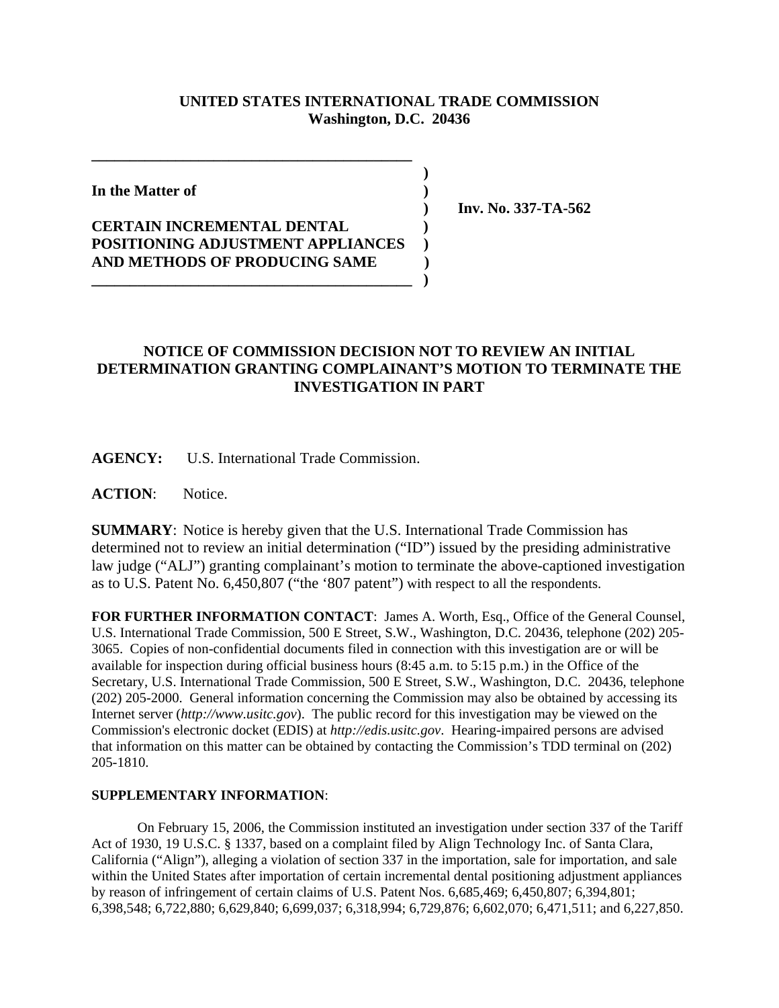## **UNITED STATES INTERNATIONAL TRADE COMMISSION Washington, D.C. 20436**

 **)**

**In the Matter of )**

## **CERTAIN INCREMENTAL DENTAL ) POSITIONING ADJUSTMENT APPLIANCES ) AND METHODS OF PRODUCING SAME )**

**\_\_\_\_\_\_\_\_\_\_\_\_\_\_\_\_\_\_\_\_\_\_\_\_\_\_\_\_\_\_\_\_\_\_\_\_\_\_\_\_\_\_ )**

**\_\_\_\_\_\_\_\_\_\_\_\_\_\_\_\_\_\_\_\_\_\_\_\_\_\_\_\_\_\_\_\_\_\_\_\_\_\_\_\_\_\_**

 **) Inv. No. 337-TA-562**

## **NOTICE OF COMMISSION DECISION NOT TO REVIEW AN INITIAL DETERMINATION GRANTING COMPLAINANT'S MOTION TO TERMINATE THE INVESTIGATION IN PART**

**AGENCY:** U.S. International Trade Commission.

**ACTION**: Notice.

**SUMMARY**: Notice is hereby given that the U.S. International Trade Commission has determined not to review an initial determination ("ID") issued by the presiding administrative law judge ("ALJ") granting complainant's motion to terminate the above-captioned investigation as to U.S. Patent No. 6,450,807 ("the '807 patent") with respect to all the respondents.

**FOR FURTHER INFORMATION CONTACT**: James A. Worth, Esq., Office of the General Counsel, U.S. International Trade Commission, 500 E Street, S.W., Washington, D.C. 20436, telephone (202) 205- 3065. Copies of non-confidential documents filed in connection with this investigation are or will be available for inspection during official business hours (8:45 a.m. to 5:15 p.m.) in the Office of the Secretary, U.S. International Trade Commission, 500 E Street, S.W., Washington, D.C. 20436, telephone (202) 205-2000. General information concerning the Commission may also be obtained by accessing its Internet server (*http://www.usitc.gov*). The public record for this investigation may be viewed on the Commission's electronic docket (EDIS) at *http://edis.usitc.gov*. Hearing-impaired persons are advised that information on this matter can be obtained by contacting the Commission's TDD terminal on (202) 205-1810.

## **SUPPLEMENTARY INFORMATION**:

On February 15, 2006, the Commission instituted an investigation under section 337 of the Tariff Act of 1930, 19 U.S.C. § 1337, based on a complaint filed by Align Technology Inc. of Santa Clara, California ("Align"), alleging a violation of section 337 in the importation, sale for importation, and sale within the United States after importation of certain incremental dental positioning adjustment appliances by reason of infringement of certain claims of U.S. Patent Nos. 6,685,469; 6,450,807; 6,394,801; 6,398,548; 6,722,880; 6,629,840; 6,699,037; 6,318,994; 6,729,876; 6,602,070; 6,471,511; and 6,227,850.